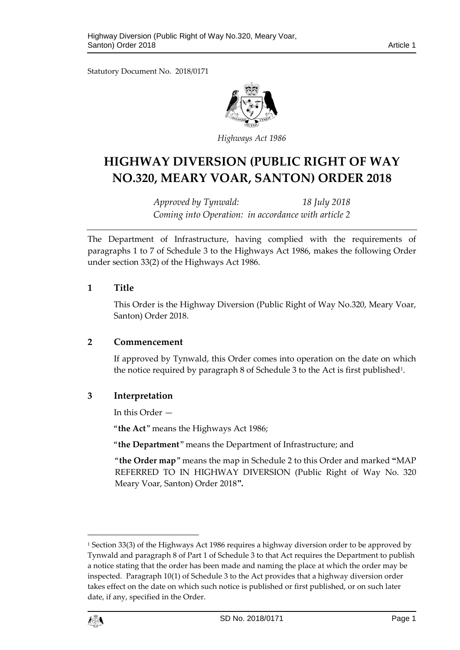Statutory Document No. 2018/0171



*Highways Act 1986*

# **HIGHWAY DIVERSION (PUBLIC RIGHT OF WAY NO.320, MEARY VOAR, SANTON) ORDER 2018**

*Approved by Tynwald: 18 July 2018 Coming into Operation: in accordance with article 2*

The Department of Infrastructure, having complied with the requirements of paragraphs 1 to 7 of Schedule 3 to the Highways Act 1986, makes the following Order under section 33(2) of the Highways Act 1986.

## **1 Title**

This Order is the Highway Diversion (Public Right of Way No.320, Meary Voar, Santon) Order 2018.

# **2 Commencement**

If approved by Tynwald, this Order comes into operation on the date on which the notice required by paragraph 8 of Schedule 3 to the Act is first published<sup>1</sup>.

# **3 Interpretation**

In this Order —

"**the Act**" means the Highways Act 1986;

"**the Department**" means the Department of Infrastructure; and

"**the Order map**" means the map in Schedule 2 to this Order and marked **"**MAP REFERRED TO IN HIGHWAY DIVERSION (Public Right of Way No. 320 Meary Voar, Santon) Order 2018**".**

<sup>&</sup>lt;sup>1</sup> Section 33(3) of the Highways Act 1986 requires a highway diversion order to be approved by Tynwald and paragraph 8 of Part 1 of Schedule 3 to that Act requires the Department to publish a notice stating that the order has been made and naming the place at which the order may be inspected. Paragraph 10(1) of Schedule 3 to the Act provides that a highway diversion order takes effect on the date on which such notice is published or first published, or on such later date, if any, specified in the Order.



 $\overline{a}$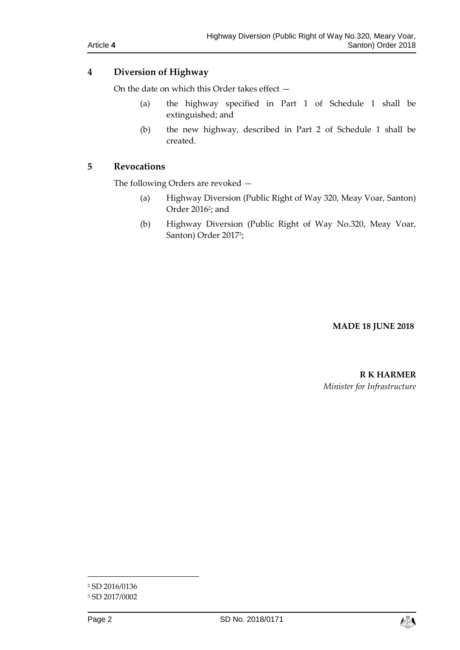# **4 Diversion of Highway**

On the date on which this Order takes effect —

- (a) the highway specified in Part 1 of Schedule 1 shall be extinguished; and
- (b) the new highway, described in Part 2 of Schedule 1 shall be created.

# **5 Revocations**

The following Orders are revoked —

- (a) Highway Diversion (Public Right of Way 320, Meay Voar, Santon) Order 2016<sup>2</sup> ; and
- (b) Highway Diversion (Public Right of Way No.320, Meay Voar, Santon) Order 2017<sup>3</sup> ;

## **MADE 18 JUNE 2018**

**R K HARMER** *Minister for Infrastructure*

 $\overline{a}$ 



<sup>2</sup> SD 2016/0136

<sup>3</sup> SD 2017/0002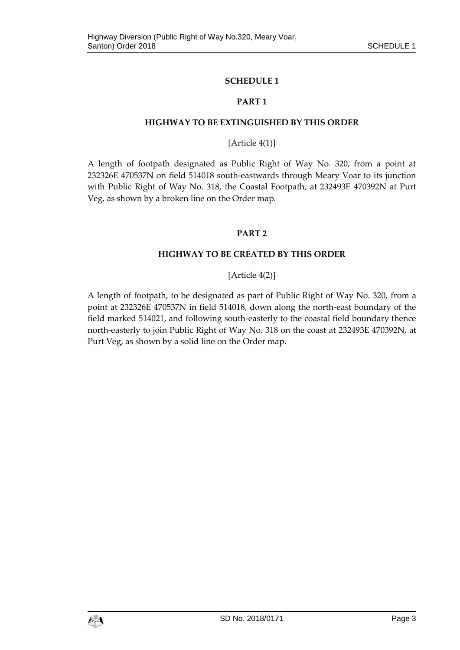## **SCHEDULE 1**

#### **PART 1**

#### **HIGHWAY TO BE EXTINGUISHED BY THIS ORDER**

## [Article 4(1)]

A length of footpath designated as Public Right of Way No. 320, from a point at 232326E 470537N on field 514018 south-eastwards through Meary Voar to its junction with Public Right of Way No. 318, the Coastal Footpath, at 232493E 470392N at Purt Veg, as shown by a broken line on the Order map.

#### **PART 2**

#### **HIGHWAY TO BE CREATED BY THIS ORDER**

# [Article 4(2)]

A length of footpath, to be designated as part of Public Right of Way No. 320, from a point at 232326E 470537N in field 514018, down along the north-east boundary of the field marked 514021, and following south-easterly to the coastal field boundary thence north-easterly to join Public Right of Way No. 318 on the coast at 232493E 470392N, at Purt Veg, as shown by a solid line on the Order map.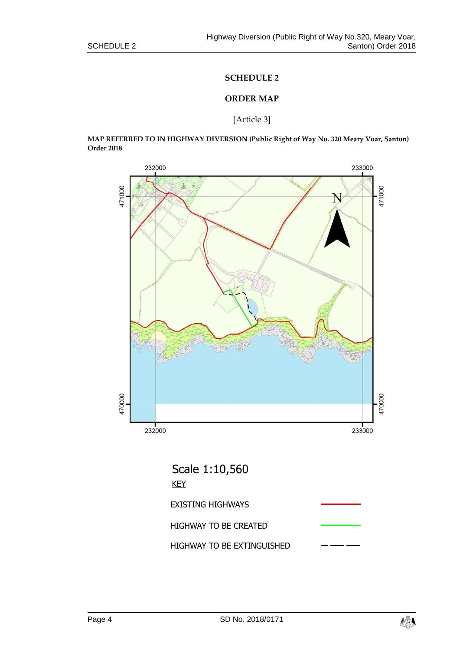#### **SCHEDULE 2**

## **ORDER MAP**

#### [Article 3]

**MAP REFERRED TO IN HIGHWAY DIVERSION (Public Right of Way No. 320 Meary Voar, Santon) Order 2018**



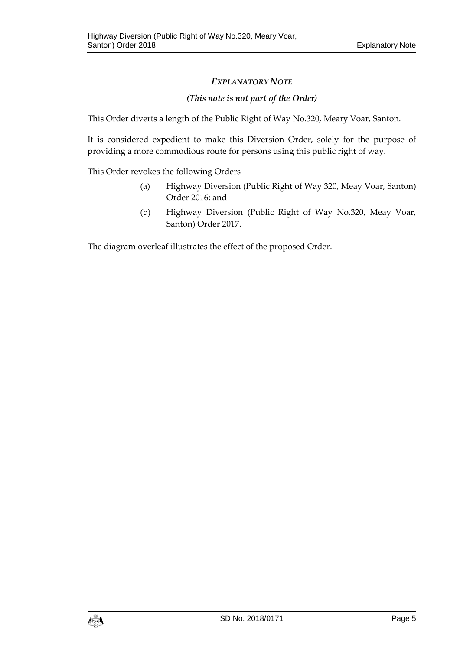# *EXPLANATORY NOTE*

# *(This note is not part of the Order)*

This Order diverts a length of the Public Right of Way No.320, Meary Voar, Santon.

It is considered expedient to make this Diversion Order, solely for the purpose of providing a more commodious route for persons using this public right of way.

This Order revokes the following Orders —

- (a) Highway Diversion (Public Right of Way 320, Meay Voar, Santon) Order 2016; and
- (b) Highway Diversion (Public Right of Way No.320, Meay Voar, Santon) Order 2017.

The diagram overleaf illustrates the effect of the proposed Order.